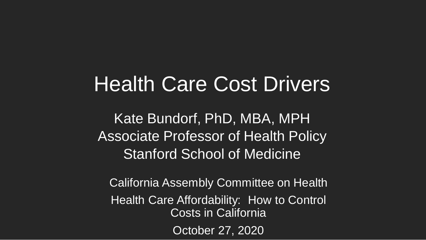## Health Care Cost Drivers

Kate Bundorf, PhD, MBA, MPH Associate Professor of Health Policy Stanford School of Medicine

California Assembly Committee on Health Health Care Affordability: How to Control Costs in California October 27, 2020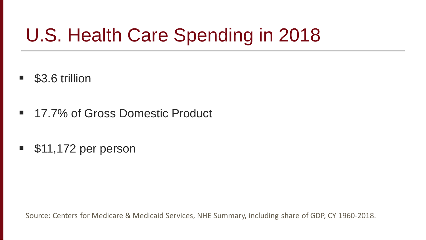# U.S. Health Care Spending in 2018

- \$3.6 trillion
- 17.7% of Gross Domestic Product
- **511,172 per person**

Source: Centers for Medicare & Medicaid Services, NHE Summary, including share of GDP, CY 1960-2018.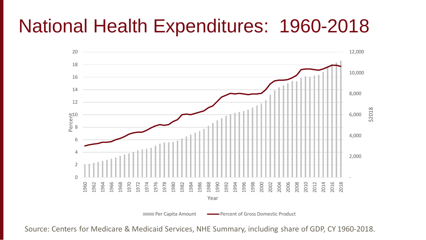### National Health Expenditures: 1960-2018



Source: Centers for Medicare & Medicaid Services, NHE Summary, including share of GDP, CY 1960-2018.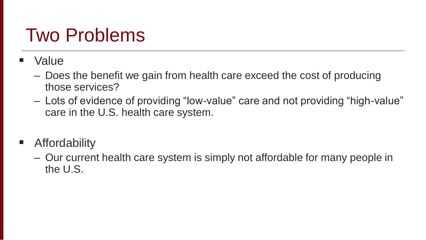## Two Problems

- Value
	- Does the benefit we gain from health care exceed the cost of producing those services?
	- Lots of evidence of providing "low-value" care and not providing "high-value" care in the U.S. health care system.
- **E** Affordability
	- Our current health care system is simply not affordable for many people in the U.S.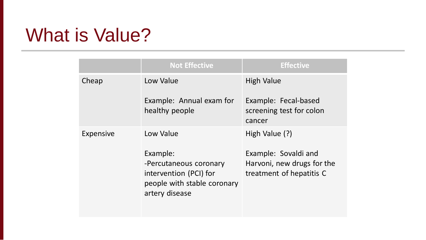## What is Value?

|           | <b>Not Effective</b>                                                                                          | <b>Effective</b>                                                               |
|-----------|---------------------------------------------------------------------------------------------------------------|--------------------------------------------------------------------------------|
| Cheap     | Low Value                                                                                                     | <b>High Value</b>                                                              |
|           | Example: Annual exam for<br>healthy people                                                                    | Example: Fecal-based<br>screening test for colon<br>cancer                     |
| Expensive | Low Value                                                                                                     | High Value (?)                                                                 |
|           | Example:<br>-Percutaneous coronary<br>intervention (PCI) for<br>people with stable coronary<br>artery disease | Example: Sovaldi and<br>Harvoni, new drugs for the<br>treatment of hepatitis C |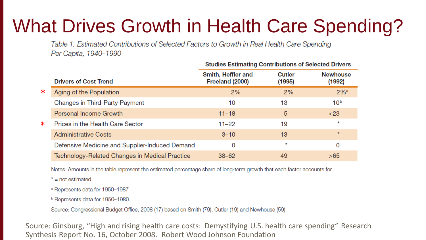# What Drives Growth in Health Care Spending?

Table 1. Estimated Contributions of Selected Factors to Growth in Real Health Care Spending Per Capita, 1940-1990

|        | <b>Drivers of Cost Trend</b>                   | Smith, Heffler and<br>Freeland (2000) | Cutler<br>(1995) | <b>Newhouse</b><br>(1992) |
|--------|------------------------------------------------|---------------------------------------|------------------|---------------------------|
| ∗      | Aging of the Population                        | 2%                                    | 2%               | $2%$ <sup>a</sup>         |
|        | <b>Changes in Third-Party Payment</b>          | 10                                    | 13               | 10 <sup>b</sup>           |
|        | Personal Income Growth                         | $11 - 18$                             | 5                | $<$ 23                    |
| $\ast$ | Prices in the Health Care Sector               | $11 - 22$                             | 19               | $\star$                   |
|        | <b>Administrative Costs</b>                    | $3 - 10$                              | 13               | $\star$                   |
|        | Defensive Medicine and Supplier-Induced Demand | 0                                     | $\star$          | 0                         |
|        | Technology-Related Changes in Medical Practice | $38 - 62$                             | 49               | >65                       |

**Studies Estimating Contributions of Selected Drivers** 

Notes: Amounts in the table represent the estimated percentage share of long-term growth that each factor accounts for.

 $* = not estimated$ .

<sup>a</sup> Represents data for 1950-1987

<sup>b</sup> Represents data for 1950-1980.

Source: Congressional Budget Office, 2008 (17) based on Smith (79), Cutler (19) and Newhouse (59)

Source: Ginsburg, "High and rising health care costs: Demystifying U.S. health care spending" Research Synthesis Report No. 16, October 2008. Robert Wood Johnson Foundation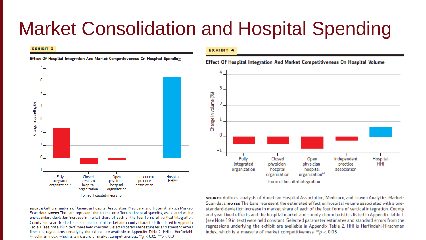### Market Consolidation and Hospital Spending

#### **EXHIBIT 3**



### Effect Of Hospital Integration And Market Competitiveness On Hospital Spending

sounce Authors' analysis of American Hospital Association, Medicare, and Truven Analytics Market-Scan data. Notes The bars represent the estimated effect on hospital spending associated with a one-standard-deviation increase in market share of each of the four forms of vertical integration. County and year fixed effects and the hospital market and county characteristics listed in Appendix Table 1 (see Note 19 in text) were held constant. Selected parameter estimates and standard errors from the regressions underlying the exhibit are available in Appendix Table 2. HHI is Herfindahl-Hirschman index, which is a measure of market competitiveness. \*\*  $p < 0.05$  \*\*\*  $p < 0.01$ 

### **EXHIBIT 4**

Effect Of Hospital Integration And Market Competitiveness On Hospital Volume



source Authors' analysis of American Hospital Association, Medicare, and Truven Analytics Market-Scan data. NoTES The bars represent the estimated effect on hospital volume associated with a onestandard-deviation increase in market share of each of the four forms of vertical integration. County and year fixed effects and the hospital market and county characteristics listed in Appendix Table 1 (see Note 19 in text) were held constant. Selected parameter estimates and standard errors from the regressions underlying the exhibit are available in Appendix Table 2. HHI is Herfindahl-Hirschman index, which is a measure of market competitiveness.  $^{**}p < 0.05$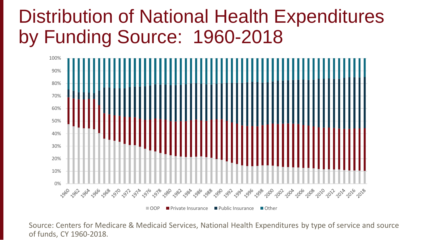## Distribution of National Health Expenditures by Funding Source: 1960-2018



Source: Centers for Medicare & Medicaid Services, National Health Expenditures by type of service and source of funds, CY 1960-2018.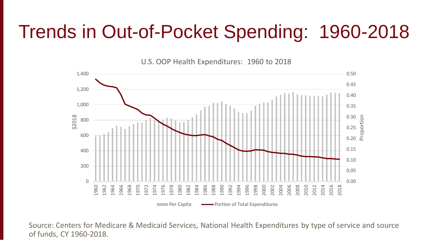## Trends in Out-of-Pocket Spending: 1960-2018

U.S. OOP Health Expenditures: 1960 to 2018



Source: Centers for Medicare & Medicaid Services, National Health Expenditures by type of service and source of funds, CY 1960-2018.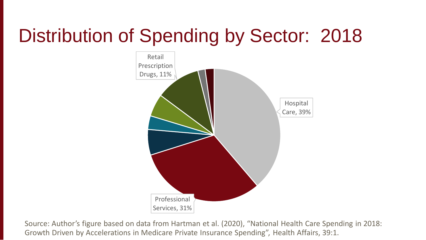# Distribution of Spending by Sector: 2018



Source: Author's figure based on data from Hartman et al. (2020), "National Health Care Spending in 2018: Growth Driven by Accelerations in Medicare Private Insurance Spending", Health Affairs, 39:1.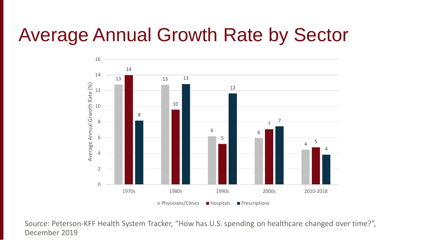## Average Annual Growth Rate by Sector



Source: Peterson-KFF Health System Tracker, "How has U.S. spending on healthcare changed over time?", December 2019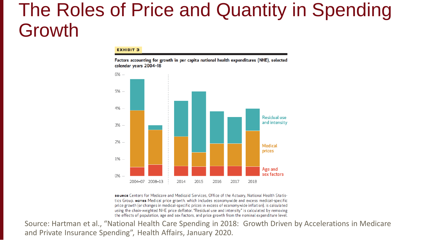### The Roles of Price and Quantity in Spending Growth

### **EXHIBIT 3**

Factors accounting for growth in per capita national health expenditures (NHE), selected calendar years 2004-18



source Centers for Medicare and Medicaid Services, Office of the Actuary, National Health Statistics Group. NOTES Medical price growth, which includes economywide and excess medical-specific price growth (or changes in medical-specific prices in excess of economywide inflation), is calculated using the chain-weighted NHE price deflator. "Residual use and intensity" is calculated by removing the effects of population, age and sex factors, and price growth from the nominal expenditure level.

Source: Hartman et al., "National Health Care Spending in 2018: Growth Driven by Accelerations in Medicare and Private Insurance Spending", Health Affairs, January 2020.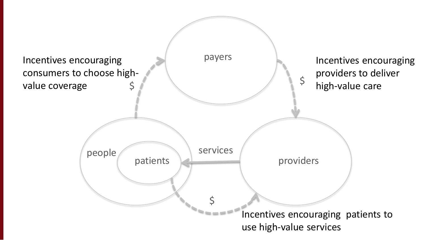